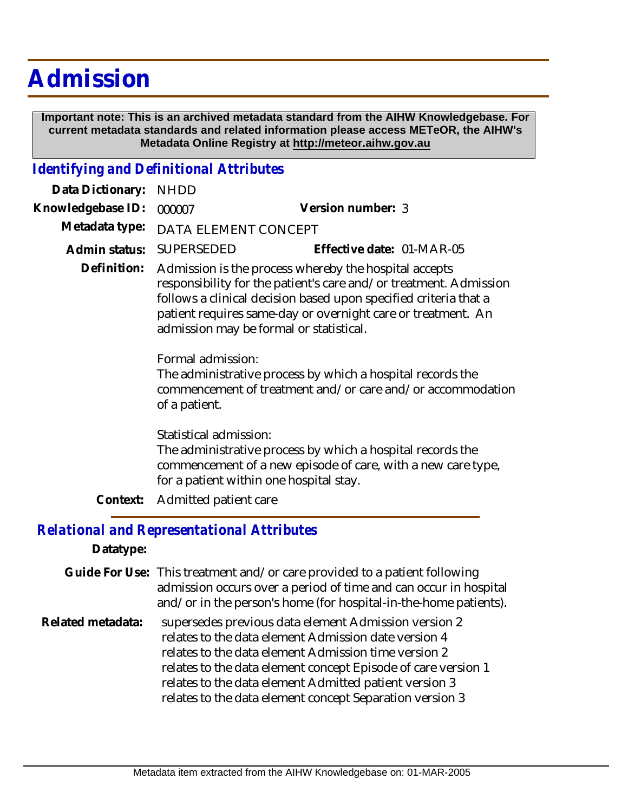# **Admission**

 **Important note: This is an archived metadata standard from the AIHW Knowledgebase. For current metadata standards and related information please access METeOR, the AIHW's Metadata Online Registry at http://meteor.aihw.gov.au**

### *Identifying and Definitional Attributes*

| Data Dictionary:  | <b>NHDD</b>                                                                                                                                                                                                                                                                                               |                                                                                                                                                                       |  |
|-------------------|-----------------------------------------------------------------------------------------------------------------------------------------------------------------------------------------------------------------------------------------------------------------------------------------------------------|-----------------------------------------------------------------------------------------------------------------------------------------------------------------------|--|
| Knowledgebase ID: | 000007                                                                                                                                                                                                                                                                                                    | Version number: 3                                                                                                                                                     |  |
| Metadata type:    | DATA ELEMENT CONCEPT                                                                                                                                                                                                                                                                                      |                                                                                                                                                                       |  |
| Admin status:     | SUPERSEDED                                                                                                                                                                                                                                                                                                | Effective date: 01-MAR-05                                                                                                                                             |  |
| Definition:       | Admission is the process whereby the hospital accepts<br>responsibility for the patient's care and/or treatment. Admission<br>follows a clinical decision based upon specified criteria that a<br>patient requires same-day or overnight care or treatment. An<br>admission may be formal or statistical. |                                                                                                                                                                       |  |
|                   | Formal admission:<br>of a patient.                                                                                                                                                                                                                                                                        | The administrative process by which a hospital records the<br>commencement of treatment and/or care and/or accommodation                                              |  |
|                   | Statistical admission:                                                                                                                                                                                                                                                                                    | The administrative process by which a hospital records the<br>commencement of a new episode of care, with a new care type,<br>for a patient within one hospital stay. |  |
| Context:          | Admitted patient care                                                                                                                                                                                                                                                                                     |                                                                                                                                                                       |  |

## *Relational and Representational Attributes*

#### **Datatype:**

Guide For Use: This treatment and/or care provided to a patient following admission occurs over a period of time and can occur in hospital and/or in the person's home (for hospital-in-the-home patients).

supersedes previous data element Admission version 2 relates to the data element Admission date version 4 relates to the data element Admission time version 2 relates to the data element concept Episode of care version 1 relates to the data element Admitted patient version 3 relates to the data element concept Separation version 3 **Related metadata:**